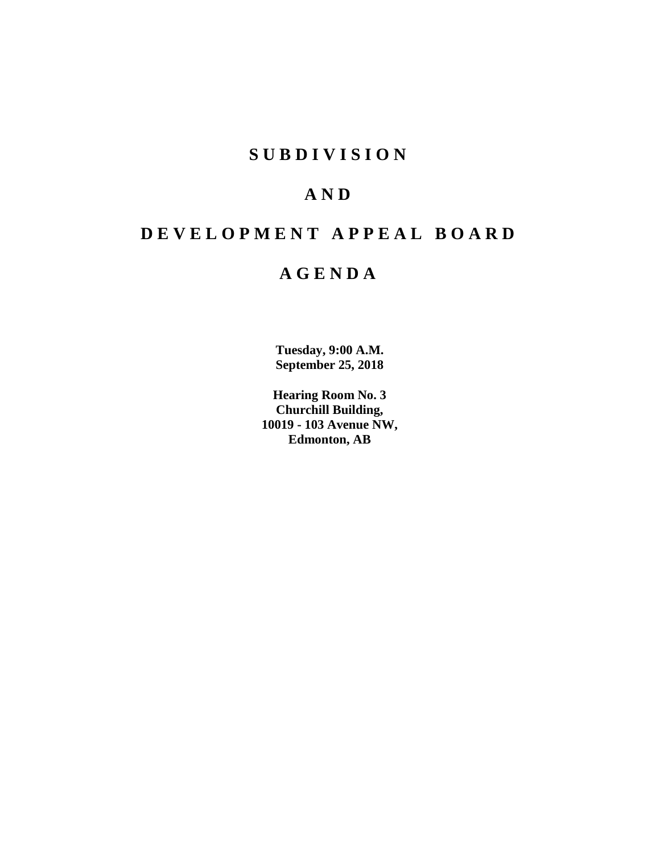## **SUBDIVISION**

## **AND**

# **DEVELOPMENT APPEAL BOARD**

## **AGENDA**

**Tuesday, 9:00 A.M. September 25, 2018**

**Hearing Room No. 3 Churchill Building, 10019 - 103 Avenue NW, Edmonton, AB**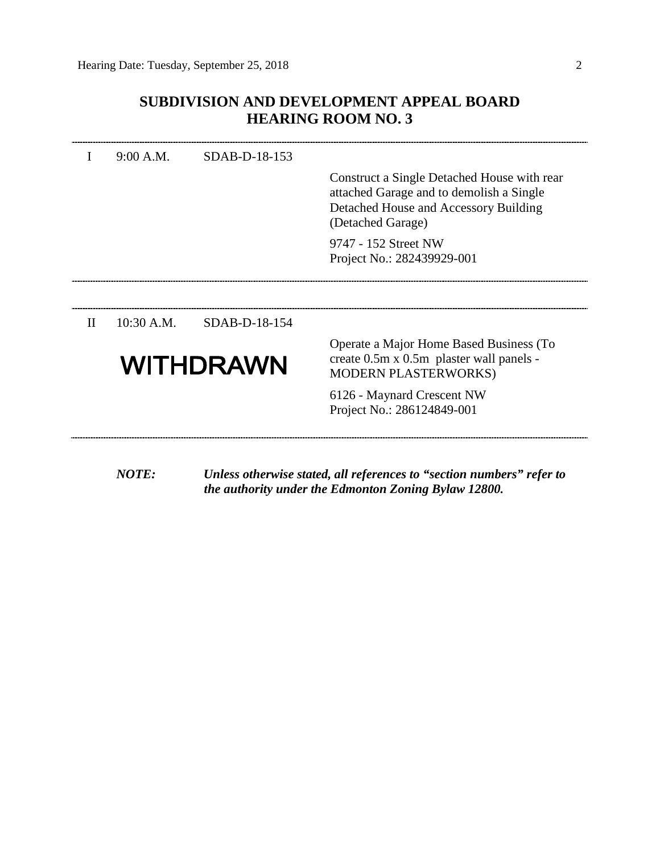## **SUBDIVISION AND DEVELOPMENT APPEAL BOARD HEARING ROOM NO. 3**

|              | 9:00 A.M.  | SDAB-D-18-153    |                                                                                                                                                       |
|--------------|------------|------------------|-------------------------------------------------------------------------------------------------------------------------------------------------------|
|              |            |                  | Construct a Single Detached House with rear<br>attached Garage and to demolish a Single<br>Detached House and Accessory Building<br>(Detached Garage) |
|              |            |                  | 9747 - 152 Street NW<br>Project No.: 282439929-001                                                                                                    |
|              |            |                  |                                                                                                                                                       |
| $\mathbf{H}$ | 10:30 A.M. | SDAB-D-18-154    |                                                                                                                                                       |
|              |            | <b>WITHDRAWN</b> | Operate a Major Home Based Business (To<br>create 0.5m x 0.5m plaster wall panels -<br><b>MODERN PLASTERWORKS)</b>                                    |
|              |            |                  | 6126 - Maynard Crescent NW<br>Project No.: 286124849-001                                                                                              |
|              | NOTE:      |                  | Unless otherwise stated, all references to "section numbers" refer to<br>the authority under the Edmonton Zoning Bylaw 12800.                         |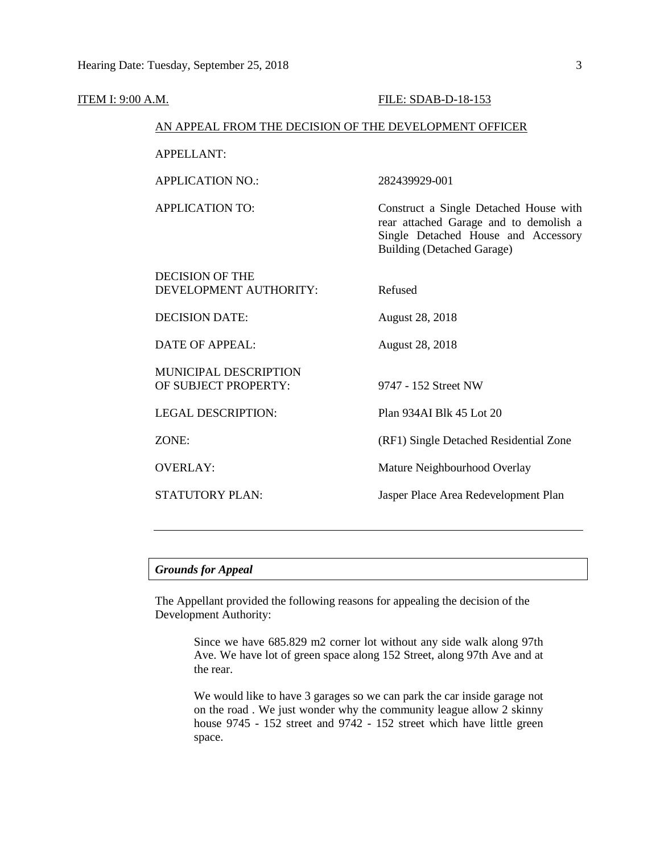| ITEM I: 9:00 A.M. |                                                        | FILE: SDAB-D-18-153                                                                                                                                          |  |  |
|-------------------|--------------------------------------------------------|--------------------------------------------------------------------------------------------------------------------------------------------------------------|--|--|
|                   | AN APPEAL FROM THE DECISION OF THE DEVELOPMENT OFFICER |                                                                                                                                                              |  |  |
|                   | <b>APPELLANT:</b>                                      |                                                                                                                                                              |  |  |
|                   | <b>APPLICATION NO.:</b>                                | 282439929-001                                                                                                                                                |  |  |
|                   | <b>APPLICATION TO:</b>                                 | Construct a Single Detached House with<br>rear attached Garage and to demolish a<br>Single Detached House and Accessory<br><b>Building (Detached Garage)</b> |  |  |
|                   | <b>DECISION OF THE</b><br>DEVELOPMENT AUTHORITY:       | Refused                                                                                                                                                      |  |  |
|                   | <b>DECISION DATE:</b>                                  | <b>August 28, 2018</b>                                                                                                                                       |  |  |
|                   | <b>DATE OF APPEAL:</b>                                 | <b>August 28, 2018</b>                                                                                                                                       |  |  |
|                   | MUNICIPAL DESCRIPTION<br>OF SUBJECT PROPERTY:          | 9747 - 152 Street NW                                                                                                                                         |  |  |
|                   | <b>LEGAL DESCRIPTION:</b>                              | Plan 934AI Blk 45 Lot 20                                                                                                                                     |  |  |
|                   | ZONE:                                                  | (RF1) Single Detached Residential Zone                                                                                                                       |  |  |
|                   | <b>OVERLAY:</b>                                        | Mature Neighbourhood Overlay                                                                                                                                 |  |  |
|                   | <b>STATUTORY PLAN:</b>                                 | Jasper Place Area Redevelopment Plan                                                                                                                         |  |  |
|                   |                                                        |                                                                                                                                                              |  |  |

## *Grounds for Appeal*

The Appellant provided the following reasons for appealing the decision of the Development Authority:

> Since we have 685.829 m2 corner lot without any side walk along 97th Ave. We have lot of green space along 152 Street, along 97th Ave and at the rear.

> We would like to have 3 garages so we can park the car inside garage not on the road . We just wonder why the community league allow 2 skinny house 9745 - 152 street and 9742 - 152 street which have little green space.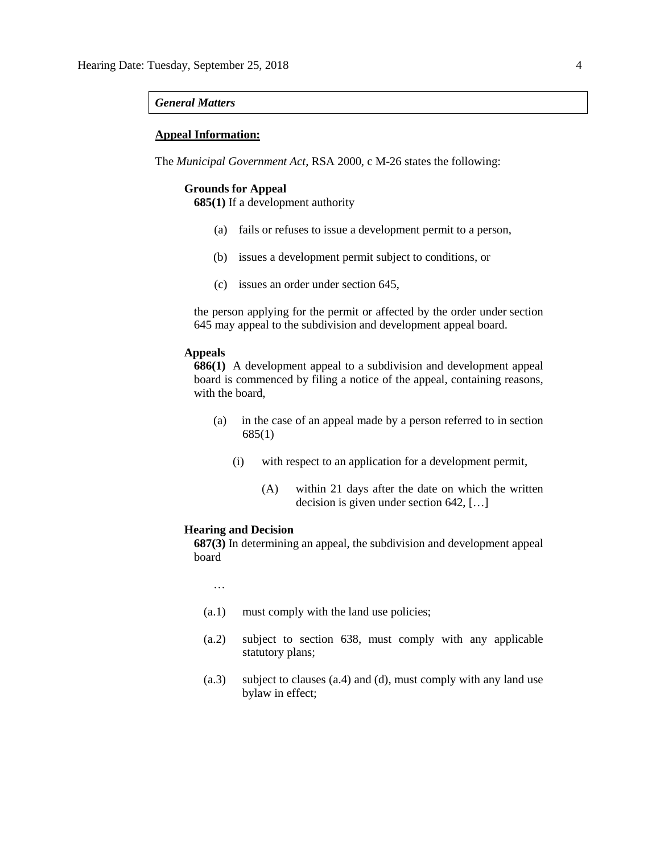#### *General Matters*

### **Appeal Information:**

The *Municipal Government Act*, RSA 2000, c M-26 states the following:

### **Grounds for Appeal**

**685(1)** If a development authority

- (a) fails or refuses to issue a development permit to a person,
- (b) issues a development permit subject to conditions, or
- (c) issues an order under section 645,

the person applying for the permit or affected by the order under section 645 may appeal to the subdivision and development appeal board.

## **Appeals**

**686(1)** A development appeal to a subdivision and development appeal board is commenced by filing a notice of the appeal, containing reasons, with the board,

- (a) in the case of an appeal made by a person referred to in section 685(1)
	- (i) with respect to an application for a development permit,
		- (A) within 21 days after the date on which the written decision is given under section 642, […]

#### **Hearing and Decision**

**687(3)** In determining an appeal, the subdivision and development appeal board

…

- (a.1) must comply with the land use policies;
- (a.2) subject to section 638, must comply with any applicable statutory plans;
- (a.3) subject to clauses (a.4) and (d), must comply with any land use bylaw in effect;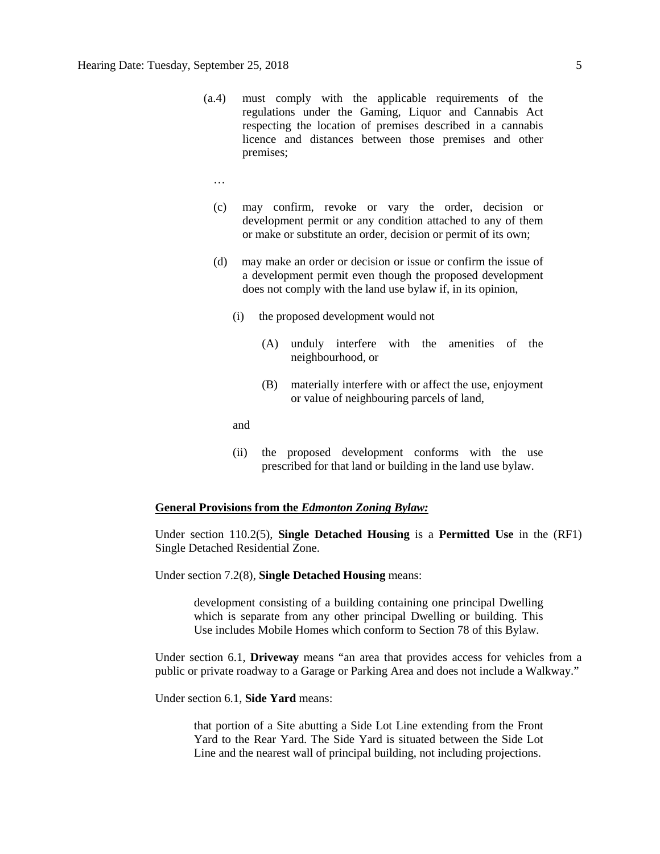- (a.4) must comply with the applicable requirements of the regulations under the Gaming, Liquor and Cannabis Act respecting the location of premises described in a cannabis licence and distances between those premises and other premises;
	- …
	- (c) may confirm, revoke or vary the order, decision or development permit or any condition attached to any of them or make or substitute an order, decision or permit of its own;
	- (d) may make an order or decision or issue or confirm the issue of a development permit even though the proposed development does not comply with the land use bylaw if, in its opinion,
		- (i) the proposed development would not
			- (A) unduly interfere with the amenities of the neighbourhood, or
			- (B) materially interfere with or affect the use, enjoyment or value of neighbouring parcels of land,

and

(ii) the proposed development conforms with the use prescribed for that land or building in the land use bylaw.

#### **General Provisions from the** *Edmonton Zoning Bylaw:*

Under section 110.2(5), **Single Detached Housing** is a **Permitted Use** in the (RF1) Single Detached Residential Zone.

Under section 7.2(8), **Single Detached Housing** means:

development consisting of a building containing one principal Dwelling which is separate from any other principal Dwelling or building. This Use includes Mobile Homes which conform to Section 78 of this Bylaw.

Under section 6.1, **Driveway** means "an area that provides access for vehicles from a public or private roadway to a Garage or Parking Area and does not include a Walkway."

Under section 6.1, **Side Yard** means:

that portion of a Site abutting a Side Lot Line extending from the Front Yard to the Rear Yard. The Side Yard is situated between the Side Lot Line and the nearest wall of principal building, not including projections.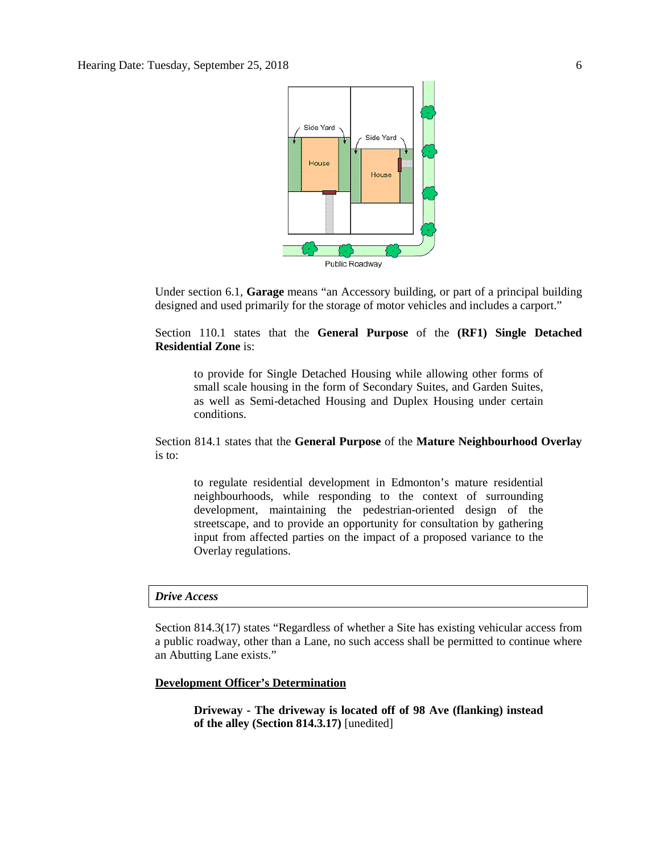

Under section 6.1, **Garage** means "an Accessory building, or part of a principal building designed and used primarily for the storage of motor vehicles and includes a carport."

Section 110.1 states that the **General Purpose** of the **(RF1) Single Detached Residential Zone** is:

to provide for Single Detached Housing while allowing other forms of small scale housing in the form of Secondary Suites, and Garden Suites, as well as Semi-detached Housing and Duplex Housing under certain conditions.

Section 814.1 states that the **General Purpose** of the **Mature Neighbourhood Overlay** is to:

to regulate residential development in Edmonton's mature residential neighbourhoods, while responding to the context of surrounding development, maintaining the pedestrian-oriented design of the streetscape, and to provide an opportunity for consultation by gathering input from affected parties on the impact of a proposed variance to the Overlay regulations.

### *Drive Access*

Section 814.3(17) states "Regardless of whether a Site has existing vehicular access from a public roadway, other than a Lane, no such access shall be permitted to continue where an Abutting Lane exists."

## **Development Officer's Determination**

**Driveway - The driveway is located off of 98 Ave (flanking) instead of the alley (Section 814.3.17)** [unedited]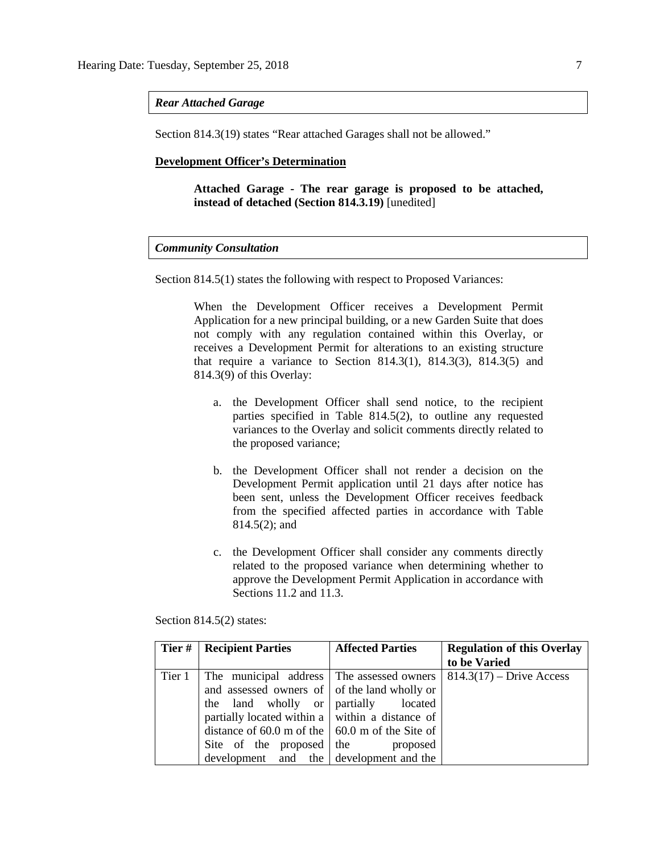#### *Rear Attached Garage*

Section 814.3(19) states "Rear attached Garages shall not be allowed."

#### **Development Officer's Determination**

**Attached Garage - The rear garage is proposed to be attached, instead of detached (Section 814.3.19)** [unedited]

### *Community Consultation*

Section 814.5(1) states the following with respect to Proposed Variances:

When the Development Officer receives a Development Permit Application for a new principal building, or a new Garden Suite that does not comply with any regulation contained within this Overlay, or receives a Development Permit for alterations to an existing structure that require a variance to Section 814.3(1), 814.3(3), 814.3(5) and 814.3(9) of this Overlay:

- a. the Development Officer shall send notice, to the recipient parties specified in Table 814.5(2), to outline any requested variances to the Overlay and solicit comments directly related to the proposed variance;
- b. the Development Officer shall not render a decision on the Development Permit application until 21 days after notice has been sent, unless the Development Officer receives feedback from the specified affected parties in accordance with Table 814.5(2); and
- c. the Development Officer shall consider any comments directly related to the proposed variance when determining whether to approve the Development Permit Application in accordance with Sections 11.2 and 11.3.

Section 814.5(2) states:

| Tier # | <b>Recipient Parties</b>                                | <b>Affected Parties</b> | <b>Regulation of this Overlay</b> |
|--------|---------------------------------------------------------|-------------------------|-----------------------------------|
|        |                                                         |                         | to be Varied                      |
| Tier 1 | The municipal address The assessed owners               |                         | $814.3(17)$ – Drive Access        |
|        | and assessed owners of of the land wholly or            |                         |                                   |
|        | the land wholly or partially located                    |                         |                                   |
|        | partially located within a   within a distance of       |                         |                                   |
|        | distance of 60.0 m of the $\vert$ 60.0 m of the Site of |                         |                                   |
|        | Site of the proposed the                                | proposed                |                                   |
|        | development and the development and the                 |                         |                                   |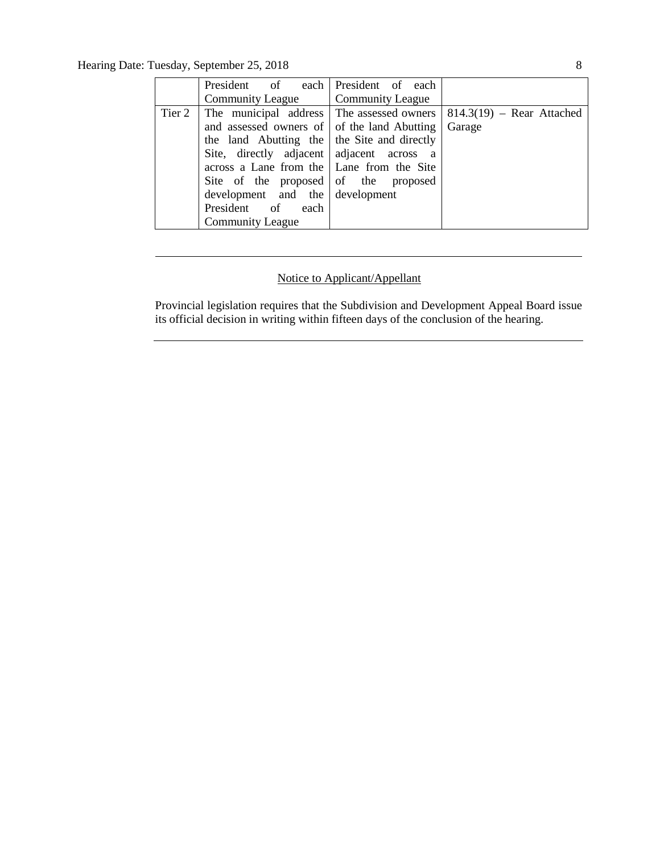Hearing Date: Tuesday, September 25, 2018 8

| President of each President of each              |                  |                               |
|--------------------------------------------------|------------------|-------------------------------|
| <b>Community League</b>                          | Community League |                               |
| Tier 2 The municipal address The assessed owners |                  | $  814.3(19) - Rear Attached$ |
| and assessed owners of of the land Abutting      |                  | Garage                        |
| the land Abutting the   the Site and directly    |                  |                               |
| Site, directly adjacent adjacent across a        |                  |                               |
| across a Lane from the   Lane from the Site      |                  |                               |
| Site of the proposed of the proposed             |                  |                               |
| development and the development                  |                  |                               |
| President of each                                |                  |                               |
| <b>Community League</b>                          |                  |                               |

## Notice to Applicant/Appellant

Provincial legislation requires that the Subdivision and Development Appeal Board issue its official decision in writing within fifteen days of the conclusion of the hearing.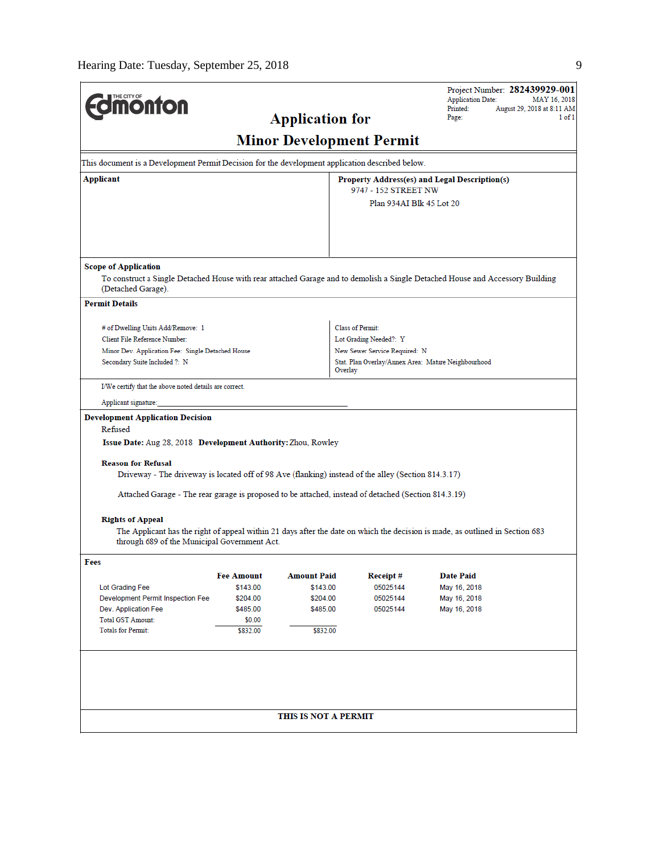| <b>IMONTON</b>                                                                                                                                                                                                                                                                                                                                                              |                                                   | <b>Application for</b> |                                                                       | Project Number: 282439929-001<br><b>Application Date:</b><br>MAY 16, 2018<br>Printed:<br>August 29, 2018 at 8:11 AM<br>Page:<br>$1$ of $1$ |  |
|-----------------------------------------------------------------------------------------------------------------------------------------------------------------------------------------------------------------------------------------------------------------------------------------------------------------------------------------------------------------------------|---------------------------------------------------|------------------------|-----------------------------------------------------------------------|--------------------------------------------------------------------------------------------------------------------------------------------|--|
|                                                                                                                                                                                                                                                                                                                                                                             |                                                   |                        | <b>Minor Development Permit</b>                                       |                                                                                                                                            |  |
| This document is a Development Permit Decision for the development application described below.                                                                                                                                                                                                                                                                             |                                                   |                        |                                                                       |                                                                                                                                            |  |
| Applicant                                                                                                                                                                                                                                                                                                                                                                   |                                                   |                        | Property Address(es) and Legal Description(s)<br>9747 - 152 STREET NW |                                                                                                                                            |  |
|                                                                                                                                                                                                                                                                                                                                                                             |                                                   |                        | Plan 934AI Blk 45 Lot 20                                              |                                                                                                                                            |  |
| <b>Scope of Application</b><br>(Detached Garage).                                                                                                                                                                                                                                                                                                                           |                                                   |                        |                                                                       | To construct a Single Detached House with rear attached Garage and to demolish a Single Detached House and Accessory Building              |  |
| <b>Permit Details</b>                                                                                                                                                                                                                                                                                                                                                       |                                                   |                        |                                                                       |                                                                                                                                            |  |
| # of Dwelling Units Add/Remove: 1                                                                                                                                                                                                                                                                                                                                           |                                                   |                        | <b>Class of Permit:</b>                                               |                                                                                                                                            |  |
| Client File Reference Number:                                                                                                                                                                                                                                                                                                                                               |                                                   |                        | Lot Grading Needed?: Y                                                |                                                                                                                                            |  |
|                                                                                                                                                                                                                                                                                                                                                                             |                                                   |                        | New Sewer Service Required: N                                         |                                                                                                                                            |  |
| Secondary Suite Included ?: N                                                                                                                                                                                                                                                                                                                                               | Minor Dev. Application Fee: Single Detached House |                        |                                                                       | Stat. Plan Overlay/Annex Area: Mature Neighbourhood<br>Overlay                                                                             |  |
| I/We certify that the above noted details are correct.                                                                                                                                                                                                                                                                                                                      |                                                   |                        |                                                                       |                                                                                                                                            |  |
| Applicant signature:                                                                                                                                                                                                                                                                                                                                                        |                                                   |                        |                                                                       |                                                                                                                                            |  |
| Development Application Decision<br>Refused<br>Issue Date: Aug 28, 2018 Development Authority: Zhou, Rowley<br><b>Reason for Refusal</b><br>Driveway - The driveway is located off of 98 Ave (flanking) instead of the alley (Section 814.3.17)<br>(Section 814.3.19) Attached Garage A. (1919) Attached, instead of detached (Section 814.3.19)<br><b>Rights of Appeal</b> |                                                   |                        |                                                                       | The Applicant has the right of appeal within 21 days after the date on which the decision is made, as outlined in Section 683              |  |
| through 689 of the Municipal Government Act.                                                                                                                                                                                                                                                                                                                                |                                                   |                        |                                                                       |                                                                                                                                            |  |
| Fees                                                                                                                                                                                                                                                                                                                                                                        |                                                   |                        |                                                                       |                                                                                                                                            |  |
|                                                                                                                                                                                                                                                                                                                                                                             | <b>Fee Amount</b>                                 | <b>Amount Paid</b>     | Receipt#                                                              | <b>Date Paid</b>                                                                                                                           |  |
| Lot Grading Fee                                                                                                                                                                                                                                                                                                                                                             | \$143.00                                          | \$143.00               | 05025144                                                              | May 16, 2018                                                                                                                               |  |
| Development Permit Inspection Fee<br>Dev. Application Fee                                                                                                                                                                                                                                                                                                                   | \$204.00<br>\$485.00                              | \$204.00<br>\$485.00   | 05025144<br>05025144                                                  | May 16, 2018<br>May 16, 2018                                                                                                               |  |
| <b>Total GST Amount:</b>                                                                                                                                                                                                                                                                                                                                                    | \$0.00                                            |                        |                                                                       |                                                                                                                                            |  |
| <b>Totals for Permit:</b>                                                                                                                                                                                                                                                                                                                                                   | \$832.00                                          | \$832.00               |                                                                       |                                                                                                                                            |  |
|                                                                                                                                                                                                                                                                                                                                                                             |                                                   |                        |                                                                       |                                                                                                                                            |  |
|                                                                                                                                                                                                                                                                                                                                                                             |                                                   | THIS IS NOT A PERMIT   |                                                                       |                                                                                                                                            |  |
|                                                                                                                                                                                                                                                                                                                                                                             |                                                   |                        |                                                                       |                                                                                                                                            |  |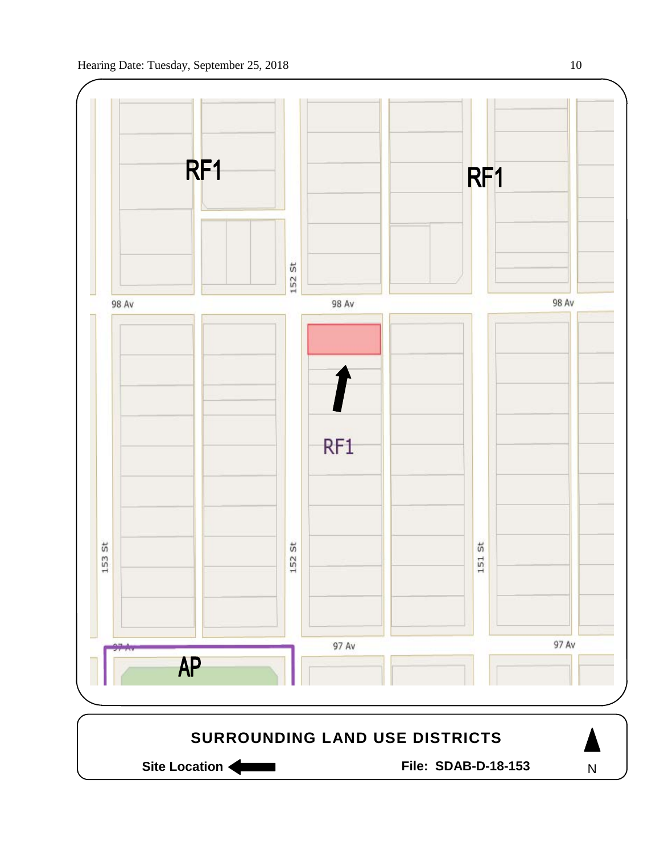